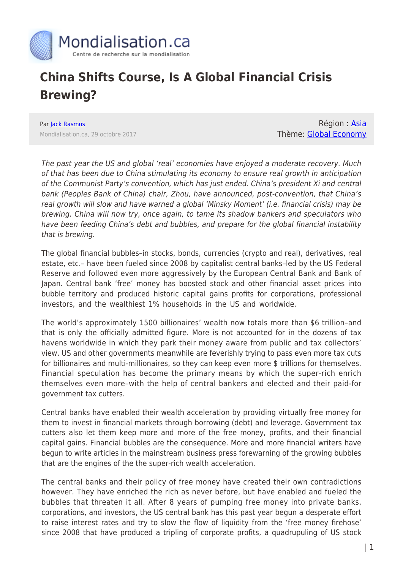

## **China Shifts Course, Is A Global Financial Crisis Brewing?**

Par [Jack Rasmus](https://www.mondialisation.ca/author/jack-rasmus) Mondialisation.ca, 29 octobre 2017

Région : [Asia](https://www.mondialisation.ca/region/asia-as) Thème: [Global Economy](https://www.mondialisation.ca/theme/global-economy-as)

The past year the US and global 'real' economies have enjoyed a moderate recovery. Much of that has been due to China stimulating its economy to ensure real growth in anticipation of the Communist Party's convention, which has just ended. China's president Xi and central bank (Peoples Bank of China) chair, Zhou, have announced, post-convention, that China's real growth will slow and have warned a global 'Minsky Moment' (i.e. financial crisis) may be brewing. China will now try, once again, to tame its shadow bankers and speculators who have been feeding China's debt and bubbles, and prepare for the global financial instability that is brewing.

The global financial bubbles–in stocks, bonds, currencies (crypto and real), derivatives, real estate, etc.– have been fueled since 2008 by capitalist central banks–led by the US Federal Reserve and followed even more aggressively by the European Central Bank and Bank of Japan. Central bank 'free' money has boosted stock and other financial asset prices into bubble territory and produced historic capital gains profits for corporations, professional investors, and the wealthiest 1% households in the US and worldwide.

The world's approximately 1500 billionaires' wealth now totals more than \$6 trillion–and that is only the officially admitted figure. More is not accounted for in the dozens of tax havens worldwide in which they park their money aware from public and tax collectors' view. US and other governments meanwhile are feverishly trying to pass even more tax cuts for billionaires and multi-millionaires, so they can keep even more \$ trillions for themselves. Financial speculation has become the primary means by which the super-rich enrich themselves even more–with the help of central bankers and elected and their paid-for government tax cutters.

Central banks have enabled their wealth acceleration by providing virtually free money for them to invest in financial markets through borrowing (debt) and leverage. Government tax cutters also let them keep more and more of the free money, profits, and their financial capital gains. Financial bubbles are the consequence. More and more financial writers have begun to write articles in the mainstream business press forewarning of the growing bubbles that are the engines of the the super-rich wealth acceleration.

The central banks and their policy of free money have created their own contradictions however. They have enriched the rich as never before, but have enabled and fueled the bubbles that threaten it all. After 8 years of pumping free money into private banks, corporations, and investors, the US central bank has this past year begun a desperate effort to raise interest rates and try to slow the flow of liquidity from the 'free money firehose' since 2008 that have produced a tripling of corporate profits, a quadrupuling of US stock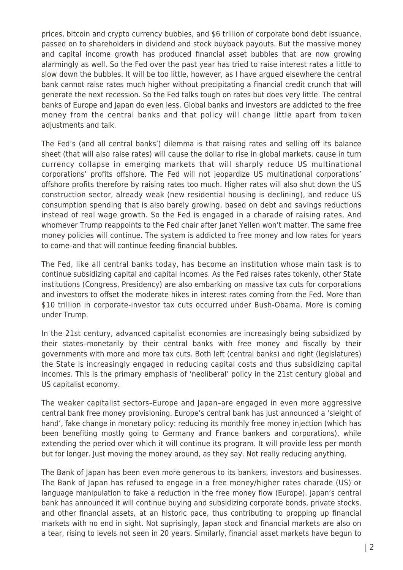prices, bitcoin and crypto currency bubbles, and \$6 trillion of corporate bond debt issuance, passed on to shareholders in dividend and stock buyback payouts. But the massive money and capital income growth has produced financial asset bubbles that are now growing alarmingly as well. So the Fed over the past year has tried to raise interest rates a little to slow down the bubbles. It will be too little, however, as I have argued elsewhere the central bank cannot raise rates much higher without precipitating a financial credit crunch that will generate the next recession. So the Fed talks tough on rates but does very little. The central banks of Europe and Japan do even less. Global banks and investors are addicted to the free money from the central banks and that policy will change little apart from token adjustments and talk.

The Fed's (and all central banks') dilemma is that raising rates and selling off its balance sheet (that will also raise rates) will cause the dollar to rise in global markets, cause in turn currency collapse in emerging markets that will sharply reduce US multinational corporations' profits offshore. The Fed will not jeopardize US multinational corporations' offshore profits therefore by raising rates too much. Higher rates will also shut down the US construction sector, already weak (new residential housing is declining), and reduce US consumption spending that is also barely growing, based on debt and savings reductions instead of real wage growth. So the Fed is engaged in a charade of raising rates. And whomever Trump reappoints to the Fed chair after Janet Yellen won't matter. The same free money policies will continue. The system is addicted to free money and low rates for years to come–and that will continue feeding financial bubbles.

The Fed, like all central banks today, has become an institution whose main task is to continue subsidizing capital and capital incomes. As the Fed raises rates tokenly, other State institutions (Congress, Presidency) are also embarking on massive tax cuts for corporations and investors to offset the moderate hikes in interest rates coming from the Fed. More than \$10 trillion in corporate-investor tax cuts occurred under Bush-Obama. More is coming under Trump.

In the 21st century, advanced capitalist economies are increasingly being subsidized by their states–monetarily by their central banks with free money and fiscally by their governments with more and more tax cuts. Both left (central banks) and right (legislatures) the State is increasingly engaged in reducing capital costs and thus subsidizing capital incomes. This is the primary emphasis of 'neoliberal' policy in the 21st century global and US capitalist economy.

The weaker capitalist sectors–Europe and Japan–are engaged in even more aggressive central bank free money provisioning. Europe's central bank has just announced a 'sleight of hand', fake change in monetary policy: reducing its monthly free money injection (which has been benefiting mostly going to Germany and France bankers and corporations), while extending the period over which it will continue its program. It will provide less per month but for longer. Just moving the money around, as they say. Not really reducing anything.

The Bank of Japan has been even more generous to its bankers, investors and businesses. The Bank of Japan has refused to engage in a free money/higher rates charade (US) or language manipulation to fake a reduction in the free money flow (Europe). Japan's central bank has announced it will continue buying and subsidizing corporate bonds, private stocks, and other financial assets, at an historic pace, thus contributing to propping up financial markets with no end in sight. Not suprisingly, Japan stock and financial markets are also on a tear, rising to levels not seen in 20 years. Similarly, financial asset markets have begun to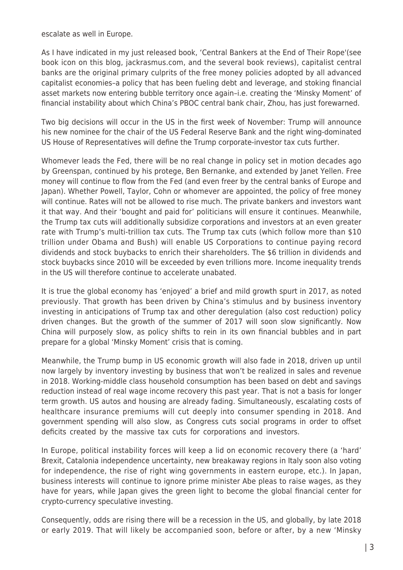escalate as well in Europe.

As I have indicated in my just released book, 'Central Bankers at the End of Their Rope'(see book icon on this blog, jackrasmus.com, and the several book reviews), capitalist central banks are the original primary culprits of the free money policies adopted by all advanced capitalist economies–a policy that has been fueling debt and leverage, and stoking financial asset markets now entering bubble territory once again–i.e. creating the 'Minsky Moment' of financial instability about which China's PBOC central bank chair, Zhou, has just forewarned.

Two big decisions will occur in the US in the first week of November: Trump will announce his new nominee for the chair of the US Federal Reserve Bank and the right wing-dominated US House of Representatives will define the Trump corporate-investor tax cuts further.

Whomever leads the Fed, there will be no real change in policy set in motion decades ago by Greenspan, continued by his protege, Ben Bernanke, and extended by Janet Yellen. Free money will continue to flow from the Fed (and even freer by the central banks of Europe and Japan). Whether Powell, Taylor, Cohn or whomever are appointed, the policy of free money will continue. Rates will not be allowed to rise much. The private bankers and investors want it that way. And their 'bought and paid for' politicians will ensure it continues. Meanwhile, the Trump tax cuts will additionally subsidize corporations and investors at an even greater rate with Trump's multi-trillion tax cuts. The Trump tax cuts (which follow more than \$10 trillion under Obama and Bush) will enable US Corporations to continue paying record dividends and stock buybacks to enrich their shareholders. The \$6 trillion in dividends and stock buybacks since 2010 will be exceeded by even trillions more. Income inequality trends in the US will therefore continue to accelerate unabated.

It is true the global economy has 'enjoyed' a brief and mild growth spurt in 2017, as noted previously. That growth has been driven by China's stimulus and by business inventory investing in anticipations of Trump tax and other deregulation (also cost reduction) policy driven changes. But the growth of the summer of 2017 will soon slow significantly. Now China will purposely slow, as policy shifts to rein in its own financial bubbles and in part prepare for a global 'Minsky Moment' crisis that is coming.

Meanwhile, the Trump bump in US economic growth will also fade in 2018, driven up until now largely by inventory investing by business that won't be realized in sales and revenue in 2018. Working-middle class household consumption has been based on debt and savings reduction instead of real wage income recovery this past year. That is not a basis for longer term growth. US autos and housing are already fading. Simultaneously, escalating costs of healthcare insurance premiums will cut deeply into consumer spending in 2018. And government spending will also slow, as Congress cuts social programs in order to offset deficits created by the massive tax cuts for corporations and investors.

In Europe, political instability forces will keep a lid on economic recovery there (a 'hard' Brexit, Catalonia independence uncertainty, new breakaway regions in Italy soon also voting for independence, the rise of right wing governments in eastern europe, etc.). In Japan, business interests will continue to ignore prime minister Abe pleas to raise wages, as they have for years, while Japan gives the green light to become the global financial center for crypto-currency speculative investing.

Consequently, odds are rising there will be a recession in the US, and globally, by late 2018 or early 2019. That will likely be accompanied soon, before or after, by a new 'Minsky